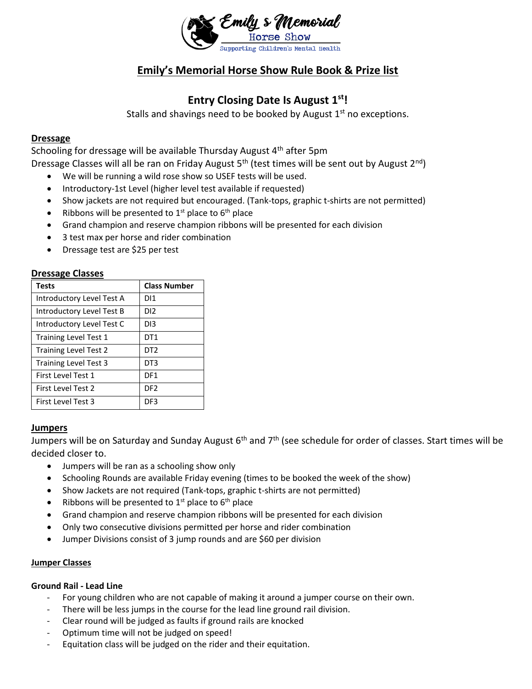

# **Emily's Memorial Horse Show Rule Book & Prize list**

# **Entry Closing Date Is August 1st!**

Stalls and shavings need to be booked by August 1<sup>st</sup> no exceptions.

# **Dressage**

Schooling for dressage will be available Thursday August 4<sup>th</sup> after 5pm Dressage Classes will all be ran on Friday August  $5<sup>th</sup>$  (test times will be sent out by August  $2<sup>nd</sup>$ )

- We will be running a wild rose show so USEF tests will be used.
- Introductory-1st Level (higher level test available if requested)
- Show jackets are not required but encouraged. (Tank-tops, graphic t-shirts are not permitted)
- Ribbons will be presented to  $1<sup>st</sup>$  place to  $6<sup>th</sup>$  place
- Grand champion and reserve champion ribbons will be presented for each division
- 3 test max per horse and rider combination
- Dressage test are \$25 per test

## **Dressage Classes**

| Tests                        | <b>Class Number</b> |
|------------------------------|---------------------|
| Introductory Level Test A    | DI1                 |
| Introductory Level Test B    | DI2.                |
| Introductory Level Test C    | DI3                 |
| Training Level Test 1        | DT1                 |
| <b>Training Level Test 2</b> | DT2                 |
| <b>Training Level Test 3</b> | DT3                 |
| First Level Test 1           | DF1                 |
| First Level Test 2           | DF2                 |
| First Level Test 3           | DF3                 |

### **Jumpers**

Jumpers will be on Saturday and Sunday August 6<sup>th</sup> and 7<sup>th</sup> (see schedule for order of classes. Start times will be decided closer to.

- Jumpers will be ran as a schooling show only
- Schooling Rounds are available Friday evening (times to be booked the week of the show)
- Show Jackets are not required (Tank-tops, graphic t-shirts are not permitted)
- Ribbons will be presented to  $1<sup>st</sup>$  place to  $6<sup>th</sup>$  place
- Grand champion and reserve champion ribbons will be presented for each division
- Only two consecutive divisions permitted per horse and rider combination
- Jumper Divisions consist of 3 jump rounds and are \$60 per division

### **Jumper Classes**

### **Ground Rail - Lead Line**

- For young children who are not capable of making it around a jumper course on their own.
- There will be less jumps in the course for the lead line ground rail division.
- Clear round will be judged as faults if ground rails are knocked
- Optimum time will not be judged on speed!
- Equitation class will be judged on the rider and their equitation.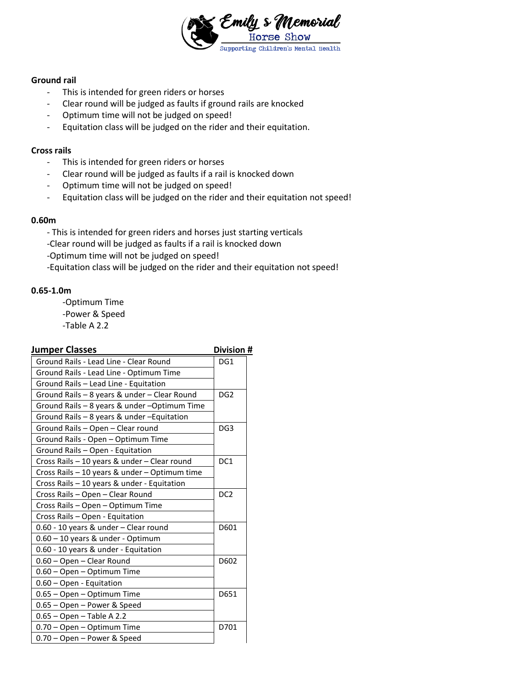

#### **Ground rail**

- This is intended for green riders or horses
- Clear round will be judged as faults if ground rails are knocked
- Optimum time will not be judged on speed!
- Equitation class will be judged on the rider and their equitation.

#### **Cross rails**

- This is intended for green riders or horses
- Clear round will be judged as faults if a rail is knocked down
- Optimum time will not be judged on speed!
- Equitation class will be judged on the rider and their equitation not speed!

#### **0.60m**

- This is intended for green riders and horses just starting verticals
- -Clear round will be judged as faults if a rail is knocked down
- -Optimum time will not be judged on speed!
- -Equitation class will be judged on the rider and their equitation not speed!

#### **0.65-1.0m**

-Optimum Time

- -Power & Speed
- -Table A 2.2

# **Iumper Classes Division #**

| uniper Classes                                | <b>UIVISIUII</b> <del>h</del> |
|-----------------------------------------------|-------------------------------|
| Ground Rails - Lead Line - Clear Round        | DG1                           |
| Ground Rails - Lead Line - Optimum Time       |                               |
| Ground Rails - Lead Line - Equitation         |                               |
| Ground Rails - 8 years & under - Clear Round  | DG <sub>2</sub>               |
| Ground Rails - 8 years & under -Optimum Time  |                               |
| Ground Rails - 8 years & under - Equitation   |                               |
| Ground Rails - Open - Clear round             | DG <sub>3</sub>               |
| Ground Rails - Open - Optimum Time            |                               |
| Ground Rails - Open - Equitation              |                               |
| Cross Rails - 10 years & under - Clear round  | DC <sub>1</sub>               |
| Cross Rails - 10 years & under - Optimum time |                               |
| Cross Rails - 10 years & under - Equitation   |                               |
| Cross Rails - Open - Clear Round              | DC <sub>2</sub>               |
| Cross Rails - Open - Optimum Time             |                               |
| Cross Rails - Open - Equitation               |                               |
| 0.60 - 10 years & under - Clear round         | D601                          |
| 0.60 - 10 years & under - Optimum             |                               |
| 0.60 - 10 years & under - Equitation          |                               |
| 0.60 - Open - Clear Round                     | D602                          |
| 0.60 - Open - Optimum Time                    |                               |
| 0.60 - Open - Equitation                      |                               |
| 0.65 - Open - Optimum Time                    | D651                          |
| 0.65 - Open - Power & Speed                   |                               |
| $0.65 - Open - Table A 2.2$                   |                               |
| 0.70 - Open - Optimum Time                    | D701                          |
| 0.70 - Open - Power & Speed                   |                               |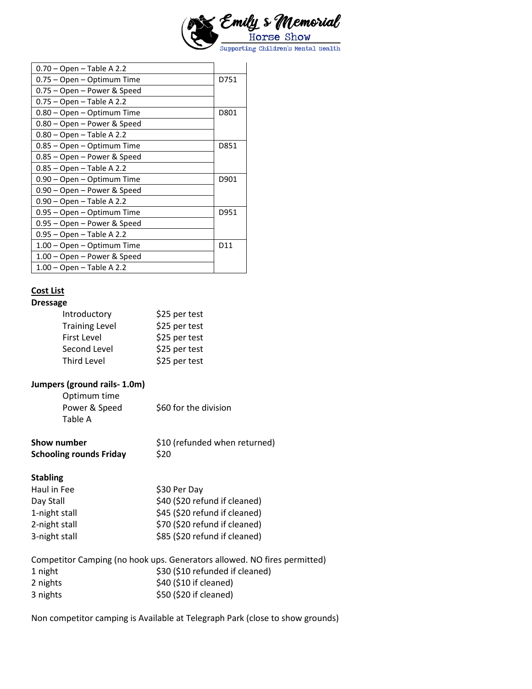

| $0.70 - Open - Table A 2.2$ |      |
|-----------------------------|------|
| 0.75 - Open - Optimum Time  | D751 |
| 0.75 – Open – Power & Speed |      |
| $0.75 -$ Open - Table A 2.2 |      |
| 0.80 - Open - Optimum Time  | D801 |
| 0.80 – Open – Power & Speed |      |
| $0.80 -$ Open - Table A 2.2 |      |
| 0.85 – Open – Optimum Time  | D851 |
| 0.85 – Open – Power & Speed |      |
| $0.85 -$ Open - Table A 2.2 |      |
| 0.90 - Open - Optimum Time  | D901 |
| 0.90 – Open – Power & Speed |      |
| $0.90 -$ Open - Table A 2.2 |      |
| 0.95 – Open – Optimum Time  | D951 |
| 0.95 – Open – Power & Speed |      |
| 0.95 - Open - Table A 2.2   |      |
| 1.00 - Open - Optimum Time  | D11  |
| 1.00 – Open – Power & Speed |      |
| 1.00 – Open – Table A 2.2   |      |

# **Cost List**

# **Dressage**

| Introductory          | \$25 per test |
|-----------------------|---------------|
| <b>Training Level</b> | \$25 per test |
| First Level           | \$25 per test |
| Second Level          | \$25 per test |
| Third Level           | \$25 per test |

# **Jumpers (ground rails- 1.0m)**

| Optimum time  |                       |
|---------------|-----------------------|
| Power & Speed | \$60 for the division |
| Table A       |                       |

| Show number                    | \$10 (refunded when returned) |
|--------------------------------|-------------------------------|
| <b>Schooling rounds Friday</b> | \$20                          |

## **Stabling**

| Haul in Fee   | \$30 Per Day                  |
|---------------|-------------------------------|
| Day Stall     | \$40 (\$20 refund if cleaned) |
| 1-night stall | \$45 (\$20 refund if cleaned) |
| 2-night stall | \$70 (\$20 refund if cleaned) |
| 3-night stall | \$85 (\$20 refund if cleaned) |

| Competitor Camping (no hook ups. Generators allowed. NO fires permitted) |                                 |
|--------------------------------------------------------------------------|---------------------------------|
| 1 night                                                                  | \$30 (\$10 refunded if cleaned) |
| 2 nights                                                                 | \$40 (\$10 if cleaned)          |
| 3 nights                                                                 | \$50 (\$20 if cleaned)          |

Non competitor camping is Available at Telegraph Park (close to show grounds)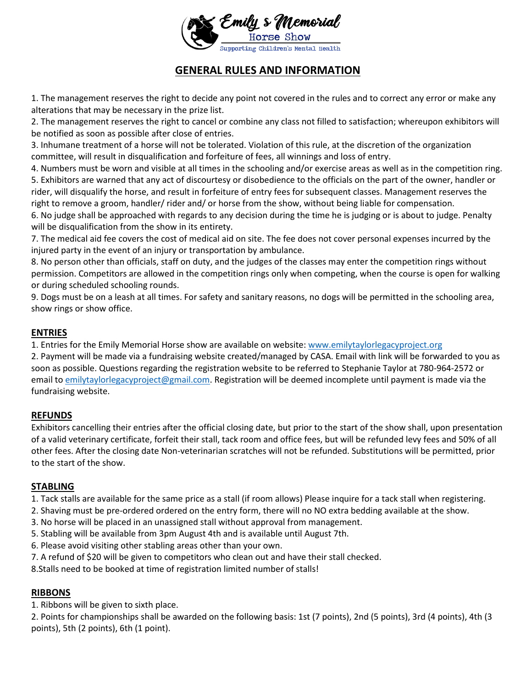

# **GENERAL RULES AND INFORMATION**

1. The management reserves the right to decide any point not covered in the rules and to correct any error or make any alterations that may be necessary in the prize list.

2. The management reserves the right to cancel or combine any class not filled to satisfaction; whereupon exhibitors will be notified as soon as possible after close of entries.

3. Inhumane treatment of a horse will not be tolerated. Violation of this rule, at the discretion of the organization committee, will result in disqualification and forfeiture of fees, all winnings and loss of entry.

4. Numbers must be worn and visible at all times in the schooling and/or exercise areas as well as in the competition ring. 5. Exhibitors are warned that any act of discourtesy or disobedience to the officials on the part of the owner, handler or rider, will disqualify the horse, and result in forfeiture of entry fees for subsequent classes. Management reserves the right to remove a groom, handler/ rider and/ or horse from the show, without being liable for compensation.

6. No judge shall be approached with regards to any decision during the time he is judging or is about to judge. Penalty will be disqualification from the show in its entirety.

7. The medical aid fee covers the cost of medical aid on site. The fee does not cover personal expenses incurred by the injured party in the event of an injury or transportation by ambulance.

8. No person other than officials, staff on duty, and the judges of the classes may enter the competition rings without permission. Competitors are allowed in the competition rings only when competing, when the course is open for walking or during scheduled schooling rounds.

9. Dogs must be on a leash at all times. For safety and sanitary reasons, no dogs will be permitted in the schooling area, show rings or show office.

# **ENTRIES**

1. Entries for the Emily Memorial Horse show are available on website[: www.emilytaylorlegacyproject.org](http://www.emilytaylorlegacyproject.org/)

2. Payment will be made via a fundraising website created/managed by CASA. Email with link will be forwarded to you as soon as possible. Questions regarding the registration website to be referred to Stephanie Taylor at 780-964-2572 or email to [emilytaylorlegacyproject@gmail.com.](mailto:emilytaylorlegacyproject@gmail.com) Registration will be deemed incomplete until payment is made via the fundraising website.

# **REFUNDS**

Exhibitors cancelling their entries after the official closing date, but prior to the start of the show shall, upon presentation of a valid veterinary certificate, forfeit their stall, tack room and office fees, but will be refunded levy fees and 50% of all other fees. After the closing date Non-veterinarian scratches will not be refunded. Substitutions will be permitted, prior to the start of the show.

# **STABLING**

1. Tack stalls are available for the same price as a stall (if room allows) Please inquire for a tack stall when registering.

- 2. Shaving must be pre-ordered ordered on the entry form, there will no NO extra bedding available at the show.
- 3. No horse will be placed in an unassigned stall without approval from management.
- 5. Stabling will be available from 3pm August 4th and is available until August 7th.
- 6. Please avoid visiting other stabling areas other than your own.
- 7. A refund of \$20 will be given to competitors who clean out and have their stall checked.
- 8.Stalls need to be booked at time of registration limited number of stalls!

# **RIBBONS**

1. Ribbons will be given to sixth place.

2. Points for championships shall be awarded on the following basis: 1st (7 points), 2nd (5 points), 3rd (4 points), 4th (3 points), 5th (2 points), 6th (1 point).